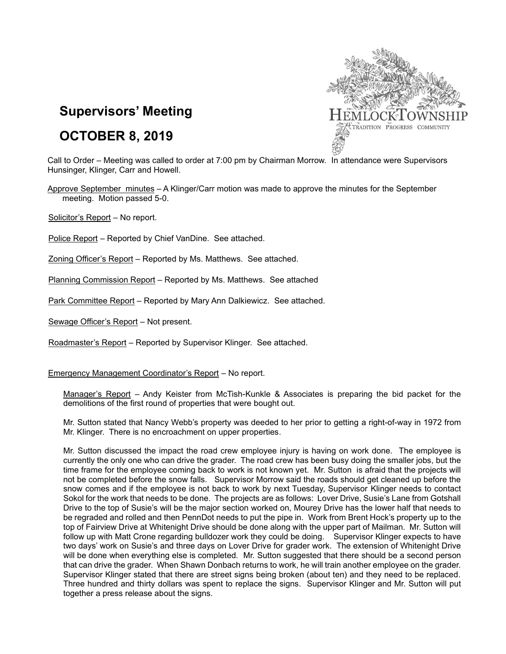

# **Supervisors' Meeting**

## **OCTOBER 8, 2019**

Call to Order – Meeting was called to order at 7:00 pm by Chairman Morrow. In attendance were Supervisors Hunsinger, Klinger, Carr and Howell.

Approve September minutes – A Klinger/Carr motion was made to approve the minutes for the September meeting. Motion passed 5-0.

Solicitor's Report – No report.

Police Report – Reported by Chief VanDine. See attached.

Zoning Officer's Report – Reported by Ms. Matthews. See attached.

Planning Commission Report – Reported by Ms. Matthews. See attached

Park Committee Report – Reported by Mary Ann Dalkiewicz. See attached.

Sewage Officer's Report – Not present.

Roadmaster's Report – Reported by Supervisor Klinger. See attached.

Emergency Management Coordinator's Report – No report.

Manager's Report – Andy Keister from McTish-Kunkle & Associates is preparing the bid packet for the demolitions of the first round of properties that were bought out.

Mr. Sutton stated that Nancy Webb's property was deeded to her prior to getting a right-of-way in 1972 from Mr. Klinger. There is no encroachment on upper properties.

Mr. Sutton discussed the impact the road crew employee injury is having on work done. The employee is currently the only one who can drive the grader. The road crew has been busy doing the smaller jobs, but the time frame for the employee coming back to work is not known yet. Mr. Sutton is afraid that the projects will not be completed before the snow falls. Supervisor Morrow said the roads should get cleaned up before the snow comes and if the employee is not back to work by next Tuesday, Supervisor Klinger needs to contact Sokol for the work that needs to be done. The projects are as follows: Lover Drive, Susie's Lane from Gotshall Drive to the top of Susie's will be the major section worked on, Mourey Drive has the lower half that needs to be regraded and rolled and then PennDot needs to put the pipe in. Work from Brent Hock's property up to the top of Fairview Drive at Whitenight Drive should be done along with the upper part of Mailman. Mr. Sutton will follow up with Matt Crone regarding bulldozer work they could be doing. Supervisor Klinger expects to have two days' work on Susie's and three days on Lover Drive for grader work. The extension of Whitenight Drive will be done when everything else is completed. Mr. Sutton suggested that there should be a second person that can drive the grader. When Shawn Donbach returns to work, he will train another employee on the grader. Supervisor Klinger stated that there are street signs being broken (about ten) and they need to be replaced. Three hundred and thirty dollars was spent to replace the signs. Supervisor Klinger and Mr. Sutton will put together a press release about the signs.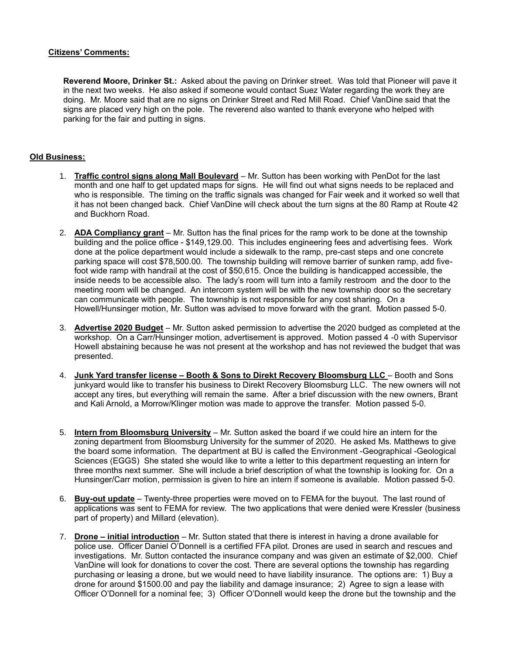#### **Citizens' Comments:**

**Reverend Moore, Drinker St.:** Asked about the paving on Drinker street. Was told that Pioneer will pave it in the next two weeks. He also asked if someone would contact Suez Water regarding the work they are doing. Mr. Moore said that are no signs on Drinker Street and Red Mill Road. Chief VanDine said that the signs are placed very high on the pole. The reverend also wanted to thank everyone who helped with parking for the fair and putting in signs.

### **Old Business:**

- 1. **Traffic control signs along Mall Boulevard** Mr. Sutton has been working with PenDot for the last month and one half to get updated maps for signs. He will find out what signs needs to be replaced and who is responsible. The timing on the traffic signals was changed for Fair week and it worked so well that it has not been changed back. Chief VanDine will check about the turn signs at the 80 Ramp at Route 42 and Buckhorn Road.
- 2. **ADA Compliancy grant** Mr. Sutton has the final prices for the ramp work to be done at the township building and the police office - \$149,129.00. This includes engineering fees and advertising fees. Work done at the police department would include a sidewalk to the ramp, pre-cast steps and one concrete parking space will cost \$78,500.00. The township building will remove barrier of sunken ramp, add fivefoot wide ramp with handrail at the cost of \$50,615. Once the building is handicapped accessible, the inside needs to be accessible also. The lady's room will turn into a family restroom and the door to the meeting room will be changed. An intercom system will be with the new township door so the secretary can communicate with people. The township is not responsible for any cost sharing. On a Howell/Hunsinger motion, Mr. Sutton was advised to move forward with the grant. Motion passed 5-0.
- 3. **Advertise 2020 Budget** Mr. Sutton asked permission to advertise the 2020 budged as completed at the workshop. On a Carr/Hunsinger motion, advertisement is approved. Motion passed 4 -0 with Supervisor Howell abstaining because he was not present at the workshop and has not reviewed the budget that was presented.
- 4. **Junk Yard transfer license – Booth & Sons to Direkt Recovery Bloomsburg LLC** Booth and Sons junkyard would like to transfer his business to Direkt Recovery Bloomsburg LLC. The new owners will not accept any tires, but everything will remain the same. After a brief discussion with the new owners, Brant and Kali Arnold, a Morrow/Klinger motion was made to approve the transfer. Motion passed 5-0.
- 5. **Intern from Bloomsburg University** Mr. Sutton asked the board if we could hire an intern for the zoning department from Bloomsburg University for the summer of 2020. He asked Ms. Matthews to give the board some information. The department at BU is called the Environment -Geographical -Geological Sciences (EGGS) She stated she would like to write a letter to this department requesting an intern for three months next summer. She will include a brief description of what the township is looking for. On a Hunsinger/Carr motion, permission is given to hire an intern if someone is available. Motion passed 5-0.
- 6. **Buy-out update** Twenty-three properties were moved on to FEMA for the buyout. The last round of applications was sent to FEMA for review. The two applications that were denied were Kressler (business part of property) and Millard (elevation).
- 7. **Drone – initial introduction** Mr. Sutton stated that there is interest in having a drone available for police use. Officer Daniel O'Donnell is a certified FFA pilot. Drones are used in search and rescues and investigations. Mr. Sutton contacted the insurance company and was given an estimate of \$2,000. Chief VanDine will look for donations to cover the cost. There are several options the township has regarding purchasing or leasing a drone, but we would need to have liability insurance. The options are: 1) Buy a drone for around \$1500.00 and pay the liability and damage insurance; 2) Agree to sign a lease with Officer O'Donnell for a nominal fee; 3) Officer O'Donnell would keep the drone but the township and the